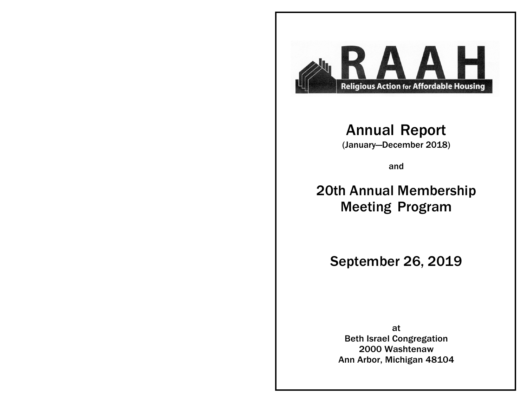

# Annual Report

(January—December 2018)

and

# 20th Annual Membership Meeting Program

September 26, 2019

at Beth Israel Congregation 2000 Washtenaw Ann Arbor, Michigan 48104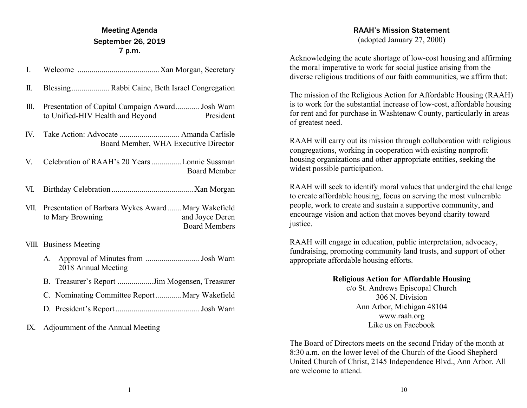## Meeting Agenda September 26, 2019 7 p.m.

| I.   |                                                                                                                   |
|------|-------------------------------------------------------------------------------------------------------------------|
| П.   |                                                                                                                   |
| Ш.   | Presentation of Capital Campaign Award Josh Warn<br>to Unified-HIV Health and Beyond<br>President                 |
|      | Board Member, WHA Executive Director                                                                              |
| V.   | Celebration of RAAH's 20 Years Lonnie Sussman<br><b>Board Member</b>                                              |
| VI.  |                                                                                                                   |
| VII. | Presentation of Barbara Wykes Award Mary Wakefield<br>and Joyce Deren<br>to Mary Browning<br><b>Board Members</b> |
|      | <b>VIII.</b> Business Meeting                                                                                     |
|      | 2018 Annual Meeting                                                                                               |
|      | B. Treasurer's Report Jim Mogensen, Treasurer                                                                     |
|      | $\alpha$ at $\alpha$ and $\alpha$ and $\alpha$ and $\alpha$                                                       |

- C. Nominating Committee Report.............. Mary Wakefield
- D. President's Report.......................................... Josh Warn

IX. Adjournment of the Annual Meeting

## RAAH's Mission Statement

(adopted January 27, 2000)

Acknowledging the acute shortage of low-cost housing and affirming the moral imperative to work for social justice arising from the diverse religious traditions of our faith communities, we affirm that:

The mission of the Religious Action for Affordable Housing (RAAH) is to work for the substantial increase of low-cost, affordable housing for rent and for purchase in Washtenaw County, particularly in areas of greatest need.

RAAH will carry out its mission through collaboration with religious congregations, working in cooperation with existing nonprofit housing organizations and other appropriate entities, seeking the widest possible participation.

RAAH will seek to identify moral values that undergird the challenge to create affordable housing, focus on serving the most vulnerable people, work to create and sustain a supportive community, and encourage vision and action that moves beyond charity toward justice.

RAAH will engage in education, public interpretation, advocacy, fundraising, promoting community land trusts, and support of other appropriate affordable housing efforts.

## **Religious Action for Affordable Housing**

c/o St. Andrews Episcopal Church 306 N. Division Ann Arbor, Michigan 48104 www.raah.org Like us on Facebook

The Board of Directors meets on the second Friday of the month at 8:30 a.m. on the lower level of the Church of the Good Shepherd United Church of Christ, 2145 Independence Blvd., Ann Arbor. All are welcome to attend.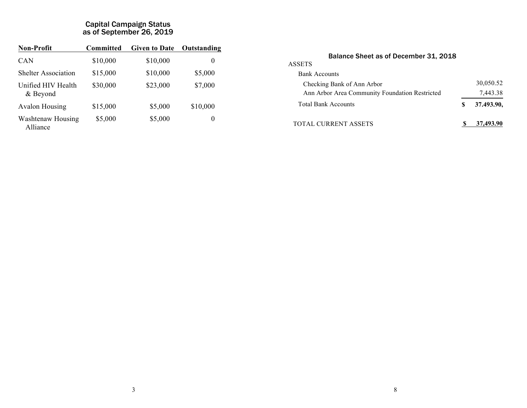### Capital Campaign Status as of September 26, 2019

| <b>Non-Profit</b>              | Committed | <b>Given to Date</b> | Outstanding |
|--------------------------------|-----------|----------------------|-------------|
| <b>CAN</b>                     | \$10,000  | \$10,000             | 0           |
| <b>Shelter Association</b>     | \$15,000  | \$10,000             | \$5,000     |
| Unified HIV Health<br>& Beyond | \$30,000  | \$23,000             | \$7,000     |
| <b>Avalon Housing</b>          | \$15,000  | \$5,000              | \$10,000    |
| Washtenaw Housing<br>Alliance  | \$5,000   | \$5,000              | 0           |

| Balance Sheet as of December 31, 2018          |   |            |  |
|------------------------------------------------|---|------------|--|
| <b>ASSETS</b>                                  |   |            |  |
| <b>Bank Accounts</b>                           |   |            |  |
| Checking Bank of Ann Arbor                     |   | 30,050.52  |  |
| Ann Arbor Area Community Foundation Restricted |   | 7,443.38   |  |
| <b>Total Bank Accounts</b>                     | S | 37.493.90, |  |
| <b>TOTAL CURRENT ASSETS</b>                    |   | 37,493.90  |  |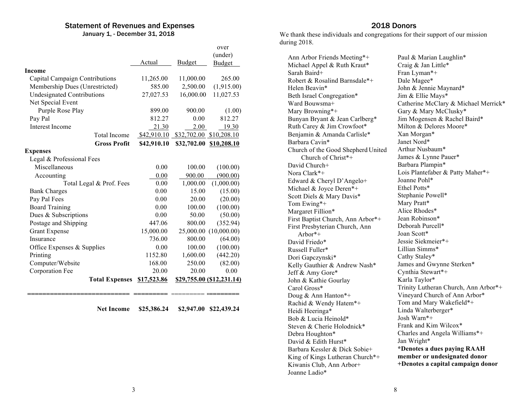## Statement of Revenues and Expenses

January 1, - December 31, 2018

|                                   |                       |             |               | over                      |
|-----------------------------------|-----------------------|-------------|---------------|---------------------------|
|                                   |                       |             |               | (under)                   |
|                                   |                       | Actual      | <b>Budget</b> | <b>Budget</b>             |
| Income                            |                       |             |               |                           |
| Capital Campaign Contributions    |                       | 11,265.00   | 11,000.00     | 265.00                    |
| Membership Dues (Unrestricted)    |                       | 585.00      | 2,500.00      | (1,915.00)                |
| <b>Undesignated Contributions</b> |                       | 27,027.53   | 16,000.00     | 11,027.53                 |
| Net Special Event                 |                       |             |               |                           |
| Purple Rose Play                  |                       | 899.00      | 900.00        | (1.00)                    |
| Pay Pal                           |                       | 812.27      | 0.00          | 812.27                    |
| <b>Interest Income</b>            |                       | 21.30       | 2.00          | 19.30                     |
|                                   | <b>Total Income</b>   | \$42,910.10 | \$32,702.00   | \$10,208.10               |
|                                   | <b>Gross Profit</b>   | \$42,910.10 | \$32,702.00   | \$10,208.10               |
| <b>Expenses</b>                   |                       |             |               |                           |
| Legal & Professional Fees         |                       |             |               |                           |
| Miscellaneous                     |                       | 0.00        | 100.00        | (100.00)                  |
| Accounting                        |                       | 0.00        | 900.00        | (900.00)                  |
| Total Legal & Prof. Fees          |                       | 0.00        | 1,000.00      | (1,000.00)                |
| <b>Bank Charges</b>               |                       | 0.00        | 15.00         | (15.00)                   |
| Pay Pal Fees                      |                       | 0.00        | 20.00         | (20.00)                   |
| <b>Board Training</b>             |                       | 0.00        | 100.00        | (100.00)                  |
| Dues & Subscriptions              |                       | 0.00        | 50.00         | (50.00)                   |
| Postage and Shipping              |                       | 447.06      | 800.00        | (352.94)                  |
| <b>Grant Expense</b>              |                       | 15,000.00   | 25,000.00     | (10,000.00)               |
| Insurance                         |                       | 736.00      | 800.00        | (64.00)                   |
| Office Expenses & Supplies        |                       | 0.00        | 100.00        | (100.00)                  |
| Printing                          |                       | 1152.80     | 1,600.00      | (442.20)                  |
| Computer/Website                  |                       | 168.00      | 250.00        | (82.00)                   |
| Corporation Fee                   |                       | 20.00       | 20.00         | 0.00                      |
|                                   | <b>Total Expenses</b> | \$17,523.86 |               | \$29,755.00 (\$12,231.14) |

**Net Income \$25,386.24 \$2,947.00 \$22,439.24**

**=========================== =========** ========= **============**

## 2018 Donors

We thank these individuals and congregations for their support of our mission during 2018.

| Ann Arbor Friends Meeting*+        | Paul & Marian Laughlin*              |
|------------------------------------|--------------------------------------|
| Michael Appel & Ruth Kraut*        | Craig & Jan Little*                  |
| Sarah Baird+                       | Fran Lyman*+                         |
| Robert & Rosalind Barnsdale*+      | Dale Magee*                          |
| Helen Beavin*                      | John & Jennie Maynard*               |
| Beth Israel Congregation*          | Jim & Ellie Mays*                    |
| Ward Bouwsma+                      | Catherine McClary & Michael Merrick* |
| Mary Browning*+                    | Gary & Mary McClusky*                |
| Bunyan Bryant & Jean Carlberg*     | Jim Mogensen & Rachel Baird*         |
| Ruth Carey & Jim Crowfoot*         | Milton & Delores Moore*              |
| Benjamin & Amanda Carlisle*        | Xan Morgan*                          |
| Barbara Cavin*                     | Janet Nord*                          |
| Church of the Good Shepherd United | Arthur Nusbaum*                      |
| Church of Christ*+                 | James & Lynne Pauer*                 |
| David Church+                      | Barbara Plampin*                     |
| Nora Clark*+                       | Lois Plantefaber & Patty Maher*+     |
| Edward & Cheryl D'Angelo+          | Joanne Pohl*                         |
| Michael & Joyce Deren*+            | Ethel Potts*                         |
| Scott Diels & Mary Davis*          | Stephanie Powell*                    |
| Tom Ewing*+                        | Mary Pratt*                          |
| Margaret Fillion*                  | Alice Rhodes*                        |
| First Baptist Church, Ann Arbor*+  | Jean Robinson*                       |
| First Presbyterian Church, Ann     | Deborah Purcell*                     |
| Arbor*+                            | Joan Scott*                          |
| David Friedo*                      | Jessie Siekmeier*+                   |
| Russell Fuller*                    | Lillian Simms*                       |
| Dori Gapczynski*                   | Cathy Staley*                        |
| Kelly Gauthier & Andrew Nash*      | James and Gwynne Sterken*            |
| Jeff & Amy Gore*                   | Cynthia Stewart*+                    |
| John & Kathie Gourlay              | Karla Taylor*                        |
| Carol Gross*                       | Trinity Lutheran Church, Ann Arbor*+ |
| Doug & Ann Hanton*+                | Vineyard Church of Ann Arbor*        |
| Rachid & Wendy Hatem*+             | Tom and Mary Wakefield*+             |
| Heidi Heeringa*                    | Linda Walterberger*                  |
| Bob & Lucia Heinold*               | Josh Warn $*+$                       |
| Steven & Cherie Holodnick*         | Frank and Kim Wilcox*                |
| Debra Houghton*                    | Charles and Angela Williams*+        |
| David & Edith Hurst*               | Jan Wright*                          |
| Barbara Kessler & Dick Sobie+      | *Denotes a dues paying RAAH          |
| King of Kings Lutheran Church*+    | member or undesignated donor         |
| Kiwanis Club, Ann Arbor+           | +Denotes a capital campaign donor    |
| Joanne Ladio*                      |                                      |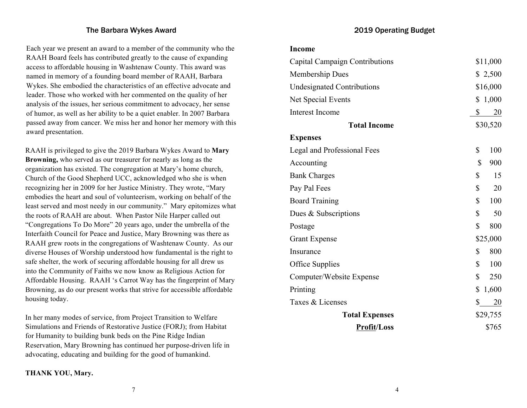#### The Barbara Wykes Award

Each year we present an award to a member of the community who the RAAH Board feels has contributed greatly to the cause of expanding access to affordable housing in Washtenaw County. This award was named in memory of a founding board member of RAAH, Barbara Wykes. She embodied the characteristics of an effective advocate and leader. Those who worked with her commented on the quality of her analysis of the issues, her serious commitment to advocacy, her sense of humor, as well as her ability to be a quiet enabler. In 2007 Barbara passed away from cancer. We miss her and honor her memory with this award presentation.

RAAH is privileged to give the 2019 Barbara Wykes Award to **Mary Browning,** who served as our treasurer for nearly as long as the organization has existed. The congregation at Mary's home church, Church of the Good Shepherd UCC, acknowledged who she is when recognizing her in 2009 for her Justice Ministry. They wrote, "Mary embodies the heart and soul of volunteerism, working on behalf of the least served and most needy in our community." Mary epitomizes what the roots of RAAH are about. When Pastor Nile Harper called out "Congregations To Do More" 20 years ago, under the umbrella of the Interfaith Council for Peace and Justice, Mary Browning was there as RAAH grew roots in the congregations of Washtenaw County. As our diverse Houses of Worship understood how fundamental is the right to safe shelter, the work of securing affordable housing for all drew us into the Community of Faiths we now know as Religious Action for Affordable Housing. RAAH 's Carrot Way has the fingerprint of Mary Browning, as do our present works that strive for accessible affordable housing today.

In her many modes of service, from Project Transition to Welfare Simulations and Friends of Restorative Justice (FORJ); from Habitat for Humanity to building bunk beds on the Pine Ridge Indian Reservation, Mary Browning has continued her purpose-driven life in advocating, educating and building for the good of humankind.

### **THANK YOU, Mary.**

2019 Operating Budget

| Capital Campaign Contributions    | \$11,000    |
|-----------------------------------|-------------|
| Membership Dues                   | \$2,500     |
| <b>Undesignated Contributions</b> | \$16,000    |
| Net Special Events                | \$<br>1,000 |
| Interest Income                   | \$<br>20    |
| <b>Total Income</b>               | \$30,520    |
| <b>Expenses</b>                   |             |
| Legal and Professional Fees       | \$<br>100   |
| Accounting                        | \$<br>900   |
| <b>Bank Charges</b>               | \$<br>15    |
| Pay Pal Fees                      | \$<br>20    |
| <b>Board Training</b>             | \$<br>100   |
| Dues & Subscriptions              | \$<br>50    |
| Postage                           | \$<br>800   |
| <b>Grant Expense</b>              | \$25,000    |
| Insurance                         | \$<br>800   |
| <b>Office Supplies</b>            | \$<br>100   |
| Computer/Website Expense          | \$<br>250   |
| Printing                          | \$<br>1,600 |
| Taxes & Licenses                  | \$<br>20    |
| <b>Total Expenses</b>             | \$29,755    |
| <b>Profit/Loss</b>                | \$765       |